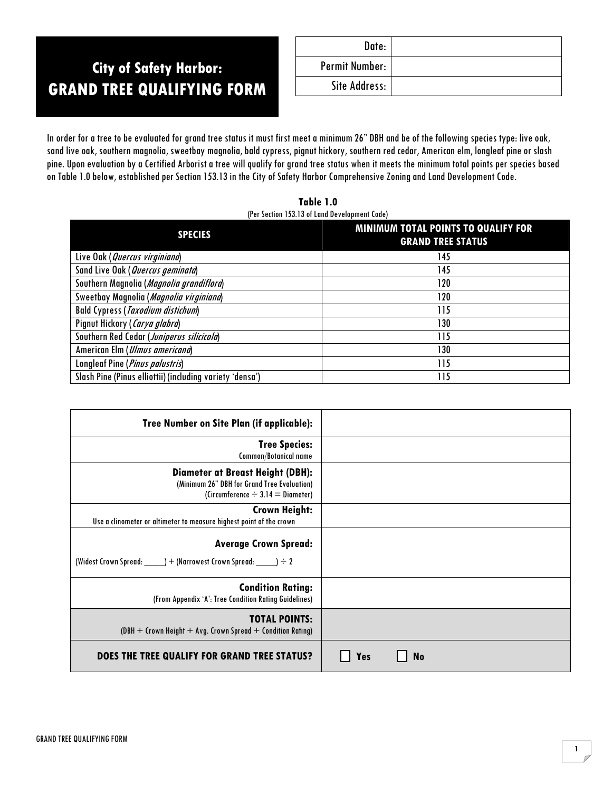# **City of Safety Harbor: GRAND TREE QUALIFYING FORM**

| Date:          |  |
|----------------|--|
| Permit Number: |  |
| Site Address:  |  |

In order for a tree to be evaluated for grand tree status it must first meet a minimum 26" DBH and be of the following species type: live oak, sand live oak, southern magnolia, sweetbay magnolia, bald cypress, pignut hickory, southern red cedar, American elm, longleaf pine or slash pine. Upon evaluation by a Certified Arborist a tree will qualify for grand tree status when it meets the minimum total points per species based on Table 1.0 below, established per Section 153.13 in the City of Safety Harbor Comprehensive Zoning and Land Development Code.

**Table 1.0** (Per Section 153.13 of Land Development Code)

| <b>SPECIES</b>                                           | MINIMUM TOTAL POINTS TO QUALIFY FOR<br><b>GRAND TREE STATUS</b> |
|----------------------------------------------------------|-----------------------------------------------------------------|
| Live Oak (Quercus virginiana)                            | 145                                                             |
| Sand Live Oak (Quercus geminata)                         | 145                                                             |
| Southern Magnolia (Magnolia grandiflora)                 | 120                                                             |
| Sweetbay Magnolia (Magnolia virginiana)                  | 120                                                             |
| <b>Bald Cypress (Taxodium distichum)</b>                 | 115                                                             |
| Pignut Hickory (Carya glabra)                            | 130                                                             |
| Southern Red Cedar (Juniperus silicicola)                | 115                                                             |
| American Elm ( <i>Ulmus americana</i> )                  | 130                                                             |
| Longleaf Pine (Pinus palustris)                          | 115                                                             |
| Slash Pine (Pinus elliottii) (including variety 'densa') | 115                                                             |

| <b>Tree Number on Site Plan (if applicable):</b>                                                                          |                  |
|---------------------------------------------------------------------------------------------------------------------------|------------------|
| <b>Tree Species:</b><br><b>Common/Botanical name</b>                                                                      |                  |
| Diameter at Breast Height (DBH):<br>(Minimum 26" DBH for Grand Tree Evaluation)<br>(Circumference $\div$ 3.14 = Diameter) |                  |
| <b>Crown Height:</b><br>Use a clinometer or altimeter to measure highest point of the crown                               |                  |
| <b>Average Crown Spread:</b><br>(Widest Crown Spread: _______) + (Narrowest Crown Spread: ______) ÷ 2                     |                  |
| <b>Condition Rating:</b><br>(From Appendix 'A': Tree Condition Rating Guidelines)                                         |                  |
| <b>TOTAL POINTS:</b><br>$(DBH + Crown Height + Avg. Crown Spread + Condition Rating)$                                     |                  |
| DOES THE TREE QUALIFY FOR GRAND TREE STATUS?                                                                              | <b>No</b><br>Yes |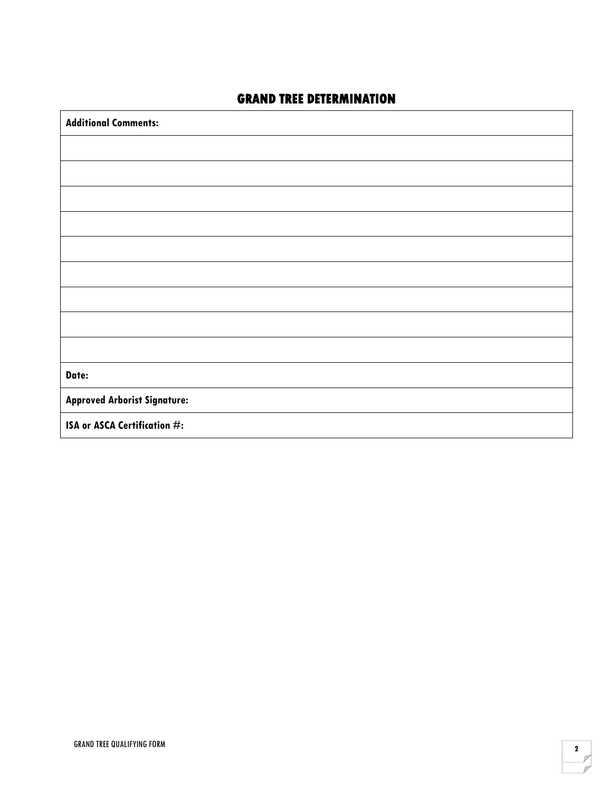# **GRAND TREE DETERMINATION**

| <b>Additional Comments:</b>         |
|-------------------------------------|
|                                     |
|                                     |
|                                     |
|                                     |
|                                     |
|                                     |
|                                     |
|                                     |
|                                     |
| Date:                               |
| <b>Approved Arborist Signature:</b> |
| ISA or ASCA Certification #:        |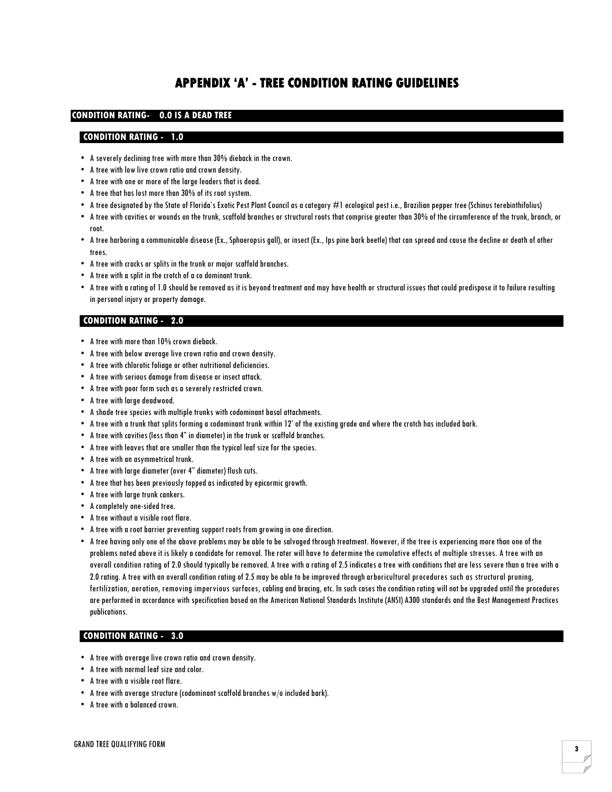# **APPENDIX 'A' - TREE CONDITION RATING GUIDELINES**

## **CONDITION RATING- 0.0 IS A DEAD TREE**

#### **CONDITION RATING - 1.0**

- A severely declining tree with more than 30% dieback in the crown.
- A tree with low live crown ratio and crown density.
- A tree with one or more of the large leaders that is dead.
- A tree that has lost more than 30% of its root system.
- A tree designated by the State of Florida's Exotic Pest Plant Council as a category #1 ecological pest i.e., Brazilian pepper tree (Schinus terebinthifolius)
- A tree with cavities or wounds on the trunk, scaffold branches or structural roots that comprise greater than 30% of the circumference of the trunk, branch, or root.
- A tree harboring a communicable disease (Ex., Sphaeropsis gall), or insect (Ex., Ips pine bark beetle) that can spread and cause the decline or death of other trees.
- A tree with cracks or splits in the trunk or major scaffold branches.
- A tree with a split in the crotch of a co dominant trunk.
- A tree with a rating of 1.0 should be removed as it is beyond treatment and may have health or structural issues that could predispose it to failure resulting in personal injury or property damage.

### **CONDITION RATING - 2.0**

- A tree with more than 10% crown dieback.
- A tree with below average live crown ratio and crown density.
- A tree with chlorotic foliage or other nutritional deficiencies.
- A tree with serious damage from disease or insect attack.
- A tree with poor form such as a severely restricted crown.
- A tree with large deadwood.
- A shade tree species with multiple trunks with codominant basal attachments.
- A tree with a trunk that splits forming a codominant trunk within 12' of the existing grade and where the crotch has included bark.
- A tree with cavities (less than 4" in diameter) in the trunk or scaffold branches.
- A tree with leaves that are smaller than the typical leaf size for the species.
- A tree with an asymmetrical trunk.
- A tree with large diameter (over 4" diameter) flush cuts.
- A tree that has been previously topped as indicated by epicormic growth.
- A tree with large trunk cankers.
- A completely one-sided tree.
- A tree without a visible root flare.
- A tree with a root barrier preventing support roots from growing in one direction.
- A tree having only one of the above problems may be able to be salvaged through treatment. However, if the tree is experiencing more than one of the problems noted above it is likely a candidate for removal. The rater will have to determine the cumulative effects of multiple stresses. A tree with an overall condition rating of 2.0 should typically be removed. A tree with a rating of 2.5 indicates a tree with conditions that are less severe than a tree with a 2.0 rating. A tree with an overall condition rating of 2.5 may be able to be improved through arboricultural procedures such as structural pruning, fertilization, aeration, removing impervious surfaces, cabling and bracing, etc. In such cases the condition rating will not be upgraded until the procedures are performed in accordance with specification based on the American National Standards Institute (ANSI) A300 standards and the Best Management Practices publications.

#### **CONDITION RATING - 3.0**

- A tree with average live crown ratio and crown density.
- A tree with normal leaf size and color.
- A tree with a visible root flare.
- A tree with average structure (codominant scaffold branches w/o included bark).
- A tree with a balanced crown.